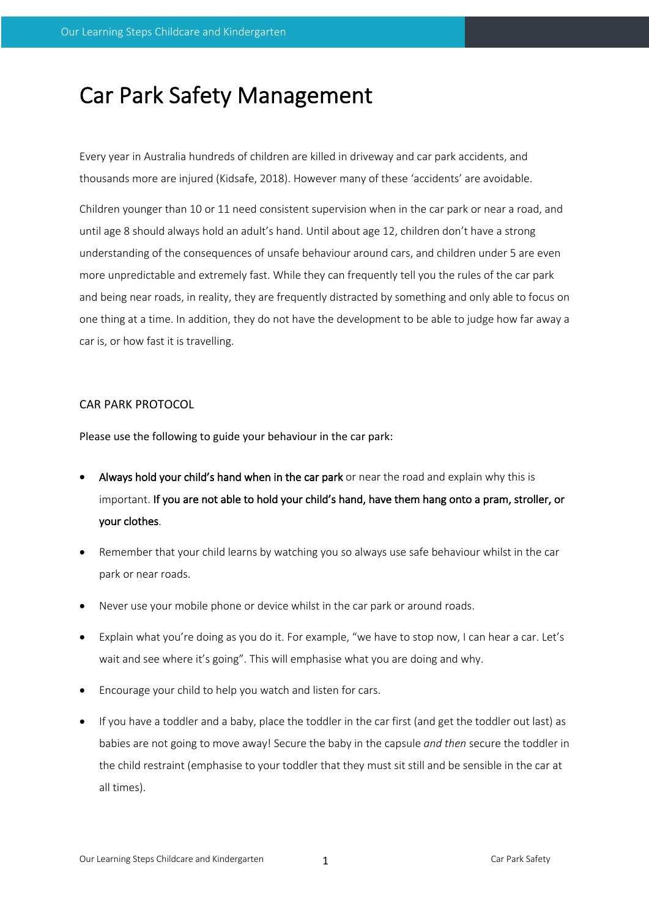## Car Park Safety Management

Every year in Australia hundreds of children are killed in driveway and car park accidents, and thousands more are injured (Kidsafe, 2018). However many of these 'accidents' are avoidable.

Children younger than 10 or 11 need consistent supervision when in the car park or near a road, and until age 8 should always hold an adult's hand. Until about age 12, children don't have a strong understanding of the consequences of unsafe behaviour around cars, and children under 5 are even more unpredictable and extremely fast. While they can frequently tell you the rules of the car park and being near roads, in reality, they are frequently distracted by something and only able to focus on one thing at a time. In addition, they do not have the development to be able to judge how far away a car is, or how fast it is travelling.

## CAR PARK PROTOCOL

Please use the following to guide your behaviour in the car park:

- Always hold your child's hand when in the car park or near the road and explain why this is important. If you are not able to hold your child's hand, have them hang onto a pram, stroller, or your clothes.
- Remember that your child learns by watching you so always use safe behaviour whilst in the car park or near roads.
- Never use your mobile phone or device whilst in the car park or around roads.
- Explain what you're doing as you do it. For example, "we have to stop now, I can hear a car. Let's wait and see where it's going". This will emphasise what you are doing and why.
- Encourage your child to help you watch and listen for cars.
- If you have a toddler and a baby, place the toddler in the car first (and get the toddler out last) as babies are not going to move away! Secure the baby in the capsule *and then* secure the toddler in the child restraint (emphasise to your toddler that they must sit still and be sensible in the car at all times).